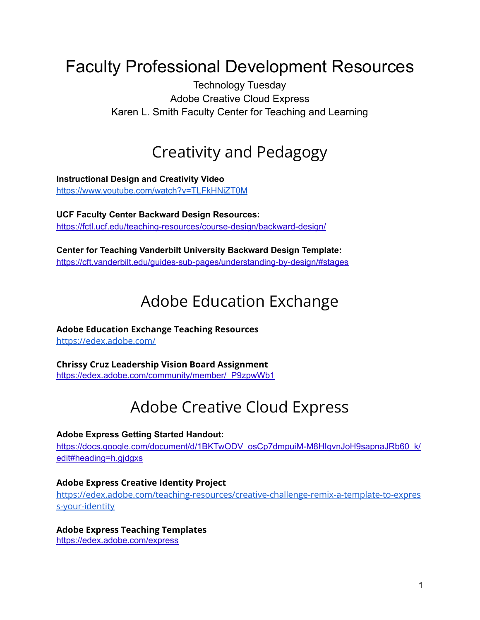# Faculty Professional Development Resources

Technology Tuesday Adobe Creative Cloud Express Karen L. Smith Faculty Center for Teaching and Learning

## Creativity and Pedagogy

**Instructional Design and Creativity Video** <https://www.youtube.com/watch?v=TLFkHNiZT0M>

**UCF Faculty Center Backward Design Resources:** <https://fctl.ucf.edu/teaching-resources/course-design/backward-design/>

**Center for Teaching Vanderbilt University Backward Design Template[:](https://cft.vanderbilt.edu/guides-sub-pages/understanding-by-design/#stages)** <https://cft.vanderbilt.edu/guides-sub-pages/understanding-by-design/#stages>

# Adobe Education Exchange

**Adobe Education Exchange Teaching Resources**

<https://edex.adobe.com/>

**Chrissy Cruz Leadership Vision Board Assignment**

[https://edex.adobe.com/community/member/\\_P9zpwWb1](https://edex.adobe.com/community/member/_P9zpwWb1)

# Adobe Creative Cloud Express

#### **Adobe Express Getting Started Handout:**

[https://docs.google.com/document/d/1BKTwODV\\_osCp7dmpuiM-M8HIgvnJoH9sapnaJRb60\\_k/](https://docs.google.com/document/d/1BKTwODV_osCp7dmpuiM-M8HIgvnJoH9sapnaJRb60_k/edit#heading=h.gjdgxs) [edit#heading=h.gjdgxs](https://docs.google.com/document/d/1BKTwODV_osCp7dmpuiM-M8HIgvnJoH9sapnaJRb60_k/edit#heading=h.gjdgxs)

#### **Adobe Express Creative Identity Project**

[https://edex.adobe.com/teaching-resources/creative-challenge-remix-a-template-to-expres](https://edex.adobe.com/teaching-resources/creative-challenge-remix-a-template-to-express-your-identity) [s-your-identity](https://edex.adobe.com/teaching-resources/creative-challenge-remix-a-template-to-express-your-identity)

#### **Adobe Express Teaching Templates**

<https://edex.adobe.com/express>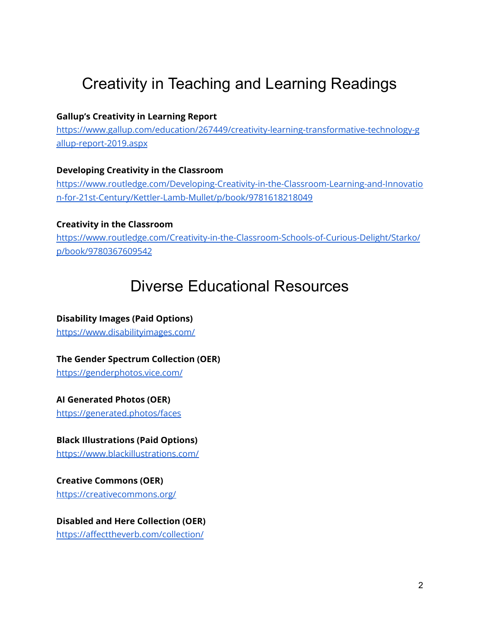# Creativity in Teaching and Learning Readings

#### **Gallup's Creativity in Learning Report**

[https://www.gallup.com/education/267449/creativity-learning-transformative-technology-g](https://www.gallup.com/education/267449/creativity-learning-transformative-technology-gallup-report-2019.aspx) [allup-report-2019.aspx](https://www.gallup.com/education/267449/creativity-learning-transformative-technology-gallup-report-2019.aspx)

#### **Developing Creativity in the Classroom**

[https://www.routledge.com/Developing-Creativity-in-the-Classroom-Learning-and-Innovatio](https://www.routledge.com/Developing-Creativity-in-the-Classroom-Learning-and-Innovation-for-21st-Century/Kettler-Lamb-Mullet/p/book/9781618218049) [n-for-21st-Century/Kettler-Lamb-Mullet/p/book/9781618218049](https://www.routledge.com/Developing-Creativity-in-the-Classroom-Learning-and-Innovation-for-21st-Century/Kettler-Lamb-Mullet/p/book/9781618218049)

#### **Creativity in the Classroom**

[https://www.routledge.com/Creativity-in-the-Classroom-Schools-of-Curious-Delight/Starko/](https://www.routledge.com/Creativity-in-the-Classroom-Schools-of-Curious-Delight/Starko/p/book/9780367609542) [p/book/9780367609542](https://www.routledge.com/Creativity-in-the-Classroom-Schools-of-Curious-Delight/Starko/p/book/9780367609542)

## Diverse Educational Resources

### **Disability Images (Paid Options)**

<https://www.disabilityimages.com/>

#### **The Gender Spectrum Collection (OER)**

<https://genderphotos.vice.com/>

#### **AI Generated Photos (OER)**

<https://generated.photos/faces>

#### **Black Illustrations (Paid Options)**

<https://www.blackillustrations.com/>

# **Creative Commons (OER)**

<https://creativecommons.org/>

### **Disabled and Here Collection (OER)**

<https://affecttheverb.com/collection/>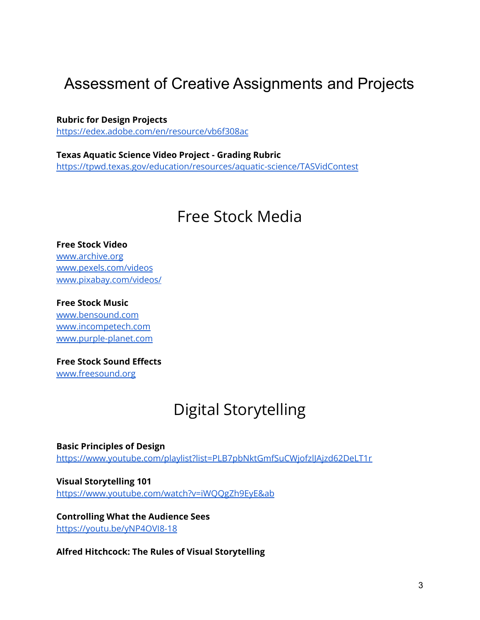### Assessment of Creative Assignments and Projects

**Rubric for Design Projects** <https://edex.adobe.com/en/resource/vb6f308ac>

**Texas Aquatic Science Video Project - Grading Rubric** <https://tpwd.texas.gov/education/resources/aquatic-science/TASVidContest>

### Free Stock Media

**Free Stock Video** [www.archive.org](http://www.archive.org) [www.pexels.com/videos](https://www.pexels.com/videos/) [www.pixabay.com/videos/](https://pixabay.com/videos/)

**Free Stock Music**

[www.bensound.com](http://www.bensound.com) [www.incompetech.com](http://www.incompetech.com) [www.purple-planet.com](http://www.purple-planet.com)

**Free Stock Sound Effects**

[www.freesound.org](http://www.freesound.org)

# Digital Storytelling

**Basic Principles of Design** <https://www.youtube.com/playlist?list=PLB7pbNktGmfSuCWjofzlJAjzd62DeLT1r>

**Visual Storytelling 101** <https://www.youtube.com/watch?v=iWQQgZh9EyE&ab>

**Controlling What the Audience Sees** <https://youtu.be/yNP4OVI8-18>

**Alfred Hitchcock: The Rules of Visual Storytelling**